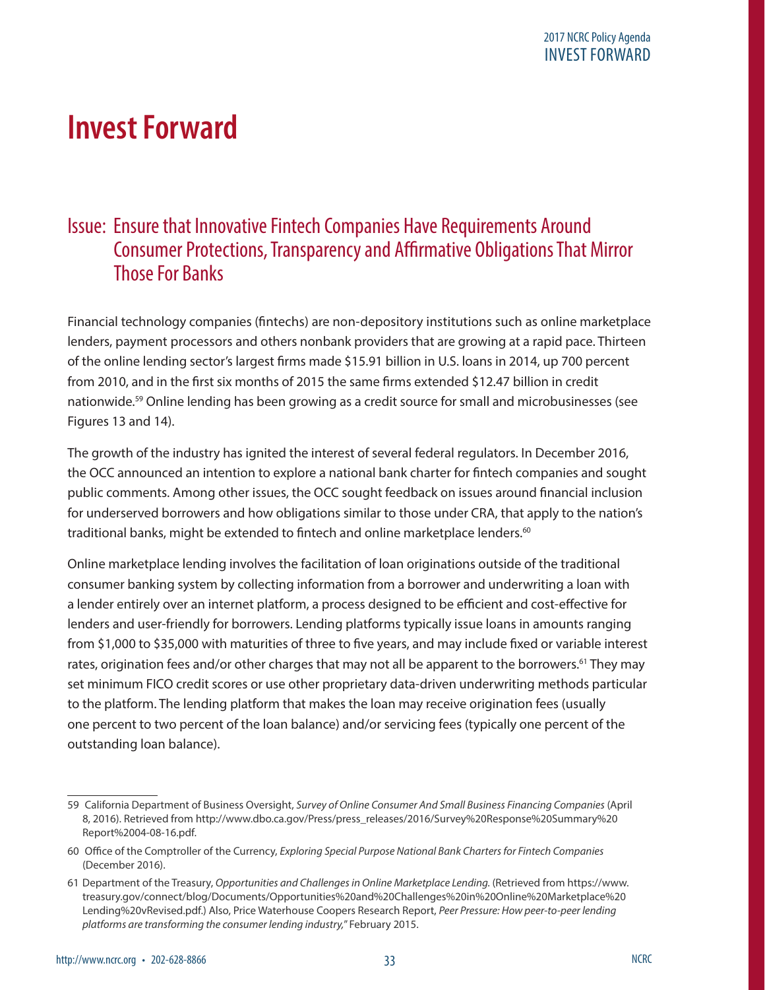# **Invest Forward**

## Issue: Ensure that Innovative Fintech Companies Have Requirements Around Consumer Protections, Transparency and Affirmative Obligations That Mirror Those For Banks

Financial technology companies (fintechs) are non-depository institutions such as online marketplace lenders, payment processors and others nonbank providers that are growing at a rapid pace. Thirteen of the online lending sector's largest firms made \$15.91 billion in U.S. loans in 2014, up 700 percent from 2010, and in the first six months of 2015 the same firms extended \$12.47 billion in credit nationwide.59 Online lending has been growing as a credit source for small and microbusinesses (see Figures 13 and 14).

The growth of the industry has ignited the interest of several federal regulators. In December 2016, the OCC announced an intention to explore a national bank charter for fintech companies and sought public comments. Among other issues, the OCC sought feedback on issues around financial inclusion for underserved borrowers and how obligations similar to those under CRA, that apply to the nation's traditional banks, might be extended to fintech and online marketplace lenders.<sup>60</sup>

Online marketplace lending involves the facilitation of loan originations outside of the traditional consumer banking system by collecting information from a borrower and underwriting a loan with a lender entirely over an internet platform, a process designed to be efficient and cost-effective for lenders and user-friendly for borrowers. Lending platforms typically issue loans in amounts ranging from \$1,000 to \$35,000 with maturities of three to five years, and may include fixed or variable interest rates, origination fees and/or other charges that may not all be apparent to the borrowers.<sup>61</sup> They may set minimum FICO credit scores or use other proprietary data-driven underwriting methods particular to the platform. The lending platform that makes the loan may receive origination fees (usually one percent to two percent of the loan balance) and/or servicing fees (typically one percent of the outstanding loan balance).

<sup>59</sup> California Department of Business Oversight, *Survey of Online Consumer And Small Business Financing Companies* (April 8, 2016). Retrieved from [http://www.dbo.ca.gov/Press/press\\_releases/2016/Survey%20Response%20Summary%20](http://www.dbo.ca.gov/Press/press_releases/2016/Survey%20Response%20Summary%20Report%2004-08-16.pdf) [Report%2004-08-16.pdf.](http://www.dbo.ca.gov/Press/press_releases/2016/Survey%20Response%20Summary%20Report%2004-08-16.pdf)

<sup>60</sup> Office of the Comptroller of the Currency, *Exploring Special Purpose National Bank Charters for Fintech Companies* (December 2016).

<sup>61</sup> Department of the Treasury, *Opportunities and Challenges in Online Marketplace Lending.* (Retrieved from [https://www.](https://www.treasury.gov/connect/blog/Documents/Opportunities%20and%20Challenges%20in%20Online%20Marketplace%20Lending%20vRevised.pdf) [treasury.gov/connect/blog/Documents/Opportunities%20and%20Challenges%20in%20Online%20Marketplace%20](https://www.treasury.gov/connect/blog/Documents/Opportunities%20and%20Challenges%20in%20Online%20Marketplace%20Lending%20vRevised.pdf) [Lending%20vRevised.pdf.](https://www.treasury.gov/connect/blog/Documents/Opportunities%20and%20Challenges%20in%20Online%20Marketplace%20Lending%20vRevised.pdf)) Also, Price Waterhouse Coopers Research Report, *Peer Pressure: How peer-to-peer lending platforms are transforming the consumer lending industry,*" February 2015.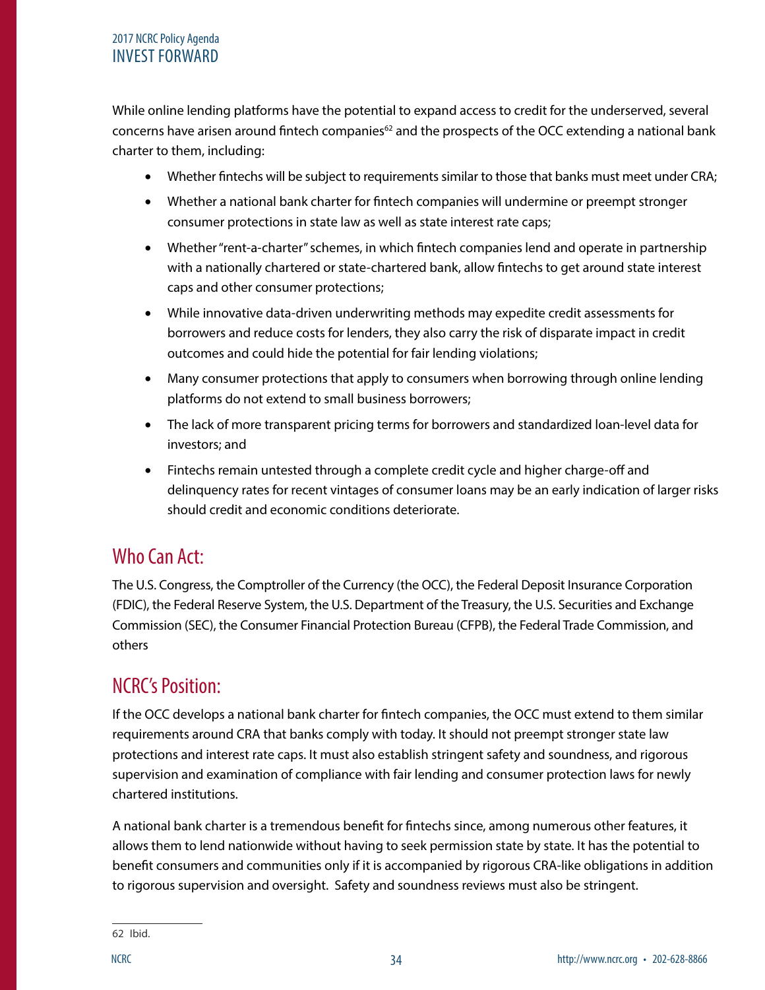#### 2017 NCRC Policy Agenda INVEST FORWARD

While online lending platforms have the potential to expand access to credit for the underserved, several concerns have arisen around fintech companies $62$  and the prospects of the OCC extending a national bank charter to them, including:

- Whether fintechs will be subject to requirements similar to those that banks must meet under CRA;
- Whether a national bank charter for fintech companies will undermine or preempt stronger consumer protections in state law as well as state interest rate caps;
- Whether "rent-a-charter" schemes, in which fintech companies lend and operate in partnership with a nationally chartered or state-chartered bank, allow fintechs to get around state interest caps and other consumer protections;
- While innovative data-driven underwriting methods may expedite credit assessments for borrowers and reduce costs for lenders, they also carry the risk of disparate impact in credit outcomes and could hide the potential for fair lending violations;
- Many consumer protections that apply to consumers when borrowing through online lending platforms do not extend to small business borrowers;
- The lack of more transparent pricing terms for borrowers and standardized loan-level data for investors; and
- Fintechs remain untested through a complete credit cycle and higher charge-off and delinquency rates for recent vintages of consumer loans may be an early indication of larger risks should credit and economic conditions deteriorate.

## Who Can Act:

The U.S. Congress, the Comptroller of the Currency (the OCC), the Federal Deposit Insurance Corporation (FDIC), the Federal Reserve System, the U.S. Department of the Treasury, the U.S. Securities and Exchange Commission (SEC), the Consumer Financial Protection Bureau (CFPB), the Federal Trade Commission, and others

## NCRC's Position:

If the OCC develops a national bank charter for fintech companies, the OCC must extend to them similar requirements around CRA that banks comply with today. It should not preempt stronger state law protections and interest rate caps. It must also establish stringent safety and soundness, and rigorous supervision and examination of compliance with fair lending and consumer protection laws for newly chartered institutions.

A national bank charter is a tremendous benefit for fintechs since, among numerous other features, it allows them to lend nationwide without having to seek permission state by state. It has the potential to benefit consumers and communities only if it is accompanied by rigorous CRA-like obligations in addition to rigorous supervision and oversight. Safety and soundness reviews must also be stringent.

62 Ibid.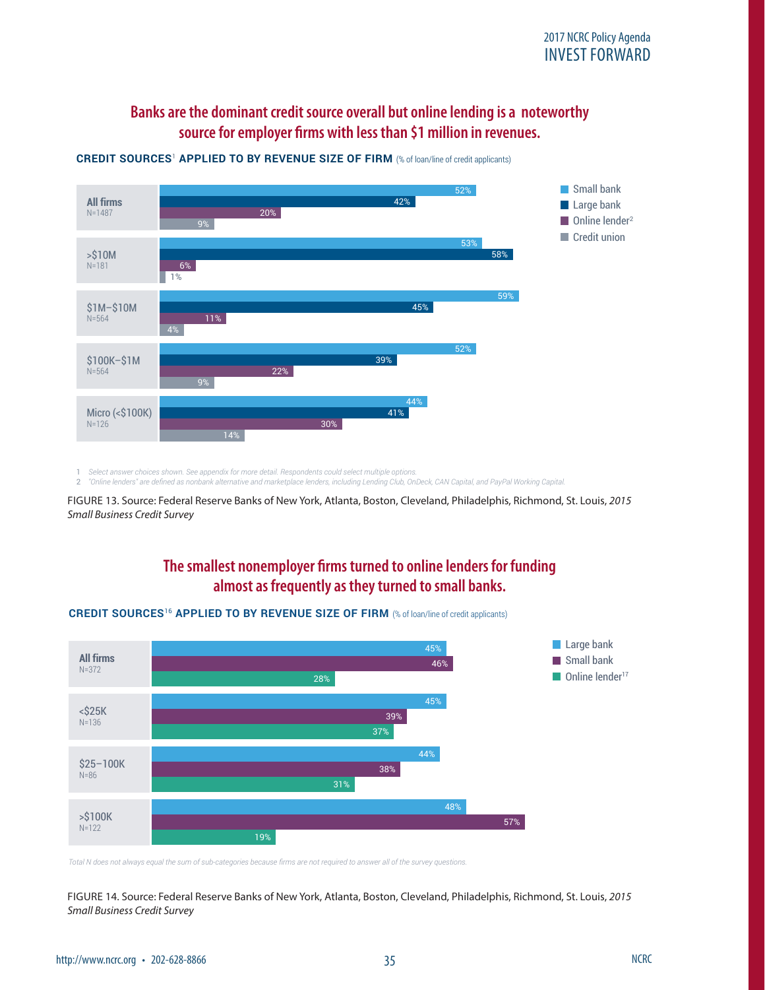#### Banks are the dominant credit source overall but online lending is a noteworthy **source for employer firms with less than \$1 million in revenues.**



**CREDIT SOURCES**<sup>1</sup> **APPLIED TO BY REVENUE SIZE OF FIRM** (% of loan/line of credit applicants)

1 *Select answer choices shown. See appendix for more detail. Respondents could select multiple options.*

1 Select answer choices shown. See appendix for more detail. Hespondents could select multiple options.<br>2 "Online lenders" are defined as nonbank alternative and marketplace lenders, including Lending Club, OnDeck, CAN Cap

**2015 SMALL BUSINESS CREDIT SURVEY | REPORT ON EMPLOYER FIRMS** 11 FIGURE 13. Source: Federal Reserve Banks of New York, Atlanta, Boston, Cleveland, Philadelphis, Richmond, St. Louis, *2015 Small Business Credit Survey*

#### **The smallest nonemployer firms turned to online lenders for funding almost as frequently as they turned to small banks.**



#### **CREDIT SOURCES**<sup>16</sup> **APPLIED TO BY REVENUE SIZE OF FIRM** (% of loan/line of credit applicants)

*Total N does not always equal the sum of sub-categories because firms are not required to answer all of the survey questions.*

FIGURE 14. Source: Federal Reserve Banks of New York, Atlanta, Boston, Cleveland, Philadelphis, Richmond, St. Louis, *2015 Small Business Credit Survey*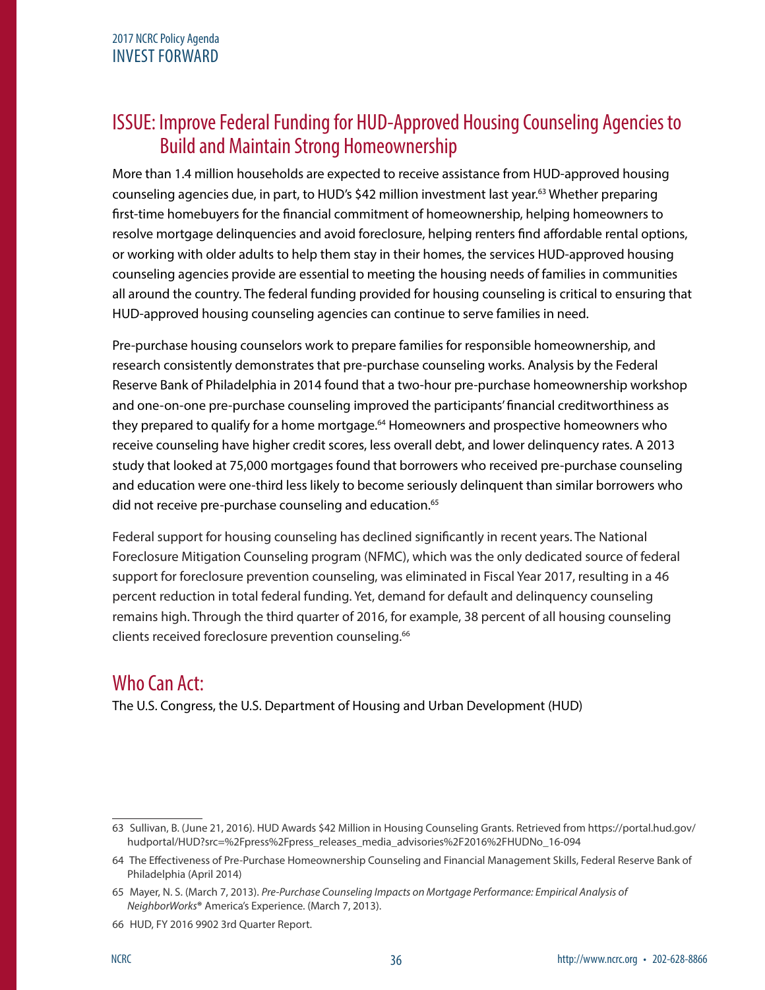## ISSUE: Improve Federal Funding for HUD-Approved Housing Counseling Agencies to Build and Maintain Strong Homeownership

More than 1.4 million households are expected to receive assistance from HUD-approved housing counseling agencies due, in part, to HUD's \$42 million investment last year.<sup>63</sup> Whether preparing first-time homebuyers for the financial commitment of homeownership, helping homeowners to resolve mortgage delinquencies and avoid foreclosure, helping renters find affordable rental options, or working with older adults to help them stay in their homes, the services HUD-approved housing counseling agencies provide are essential to meeting the housing needs of families in communities all around the country. The federal funding provided for housing counseling is critical to ensuring that HUD-approved housing counseling agencies can continue to serve families in need.

Pre-purchase housing counselors work to prepare families for responsible homeownership, and research consistently demonstrates that pre-purchase counseling works. Analysis by the Federal Reserve Bank of Philadelphia in 2014 found that a two-hour pre-purchase homeownership workshop and one-on-one pre-purchase counseling improved the participants' financial creditworthiness as they prepared to qualify for a home mortgage.<sup>64</sup> Homeowners and prospective homeowners who receive counseling have higher credit scores, less overall debt, and lower delinquency rates. A 2013 study that looked at 75,000 mortgages found that borrowers who received pre-purchase counseling and education were one-third less likely to become seriously delinquent than similar borrowers who did not receive pre-purchase counseling and education.<sup>65</sup>

Federal support for housing counseling has declined significantly in recent years. The National Foreclosure Mitigation Counseling program (NFMC), which was the only dedicated source of federal support for foreclosure prevention counseling, was eliminated in Fiscal Year 2017, resulting in a 46 percent reduction in total federal funding. Yet, demand for default and delinquency counseling remains high. Through the third quarter of 2016, for example, 38 percent of all housing counseling clients received foreclosure prevention counseling.<sup>66</sup>

## Who Can Act:

The U.S. Congress, the U.S. Department of Housing and Urban Development (HUD)

<sup>63</sup> Sullivan, B. (June 21, 2016). HUD Awards \$42 Million in Housing Counseling Grants. Retrieved from https://portal.hud.gov/ hudportal/HUD?src=%2Fpress%2Fpress releases media advisories%2F2016%2FHUDNo\_16-094

<sup>64</sup> The Effectiveness of Pre-Purchase Homeownership Counseling and Financial Management Skills, Federal Reserve Bank of Philadelphia (April 2014)

<sup>65</sup> Mayer, N. S. (March 7, 2013). *Pre-Purchase Counseling Impacts on Mortgage Performance: Empirical Analysis of NeighborWorks***®** America's Experience. (March 7, 2013).

<sup>66</sup> HUD, FY 2016 9902 3rd Quarter Report.